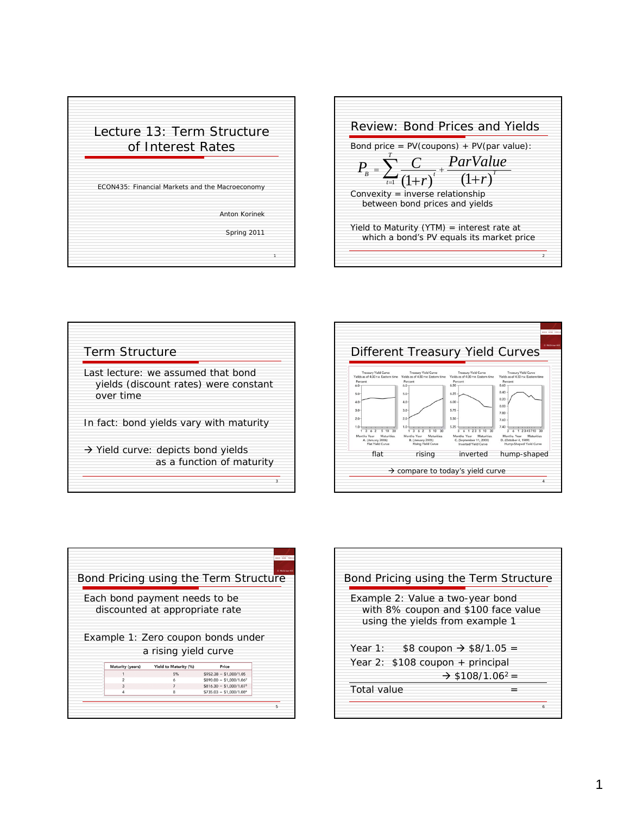

1









| Bond Pricing using the Term Structure                                                                                  |
|------------------------------------------------------------------------------------------------------------------------|
| Example 2: Value a two-year bond<br>with 8% coupon and \$100 face value<br>using the yields from example 1             |
| \$8 coupon $\rightarrow$ \$8/1.05 =<br>Year 1:<br>Year 2: \$108 coupon + principal<br>$\div$ \$108/1.06 <sup>2</sup> = |
| Total value                                                                                                            |
| ħ                                                                                                                      |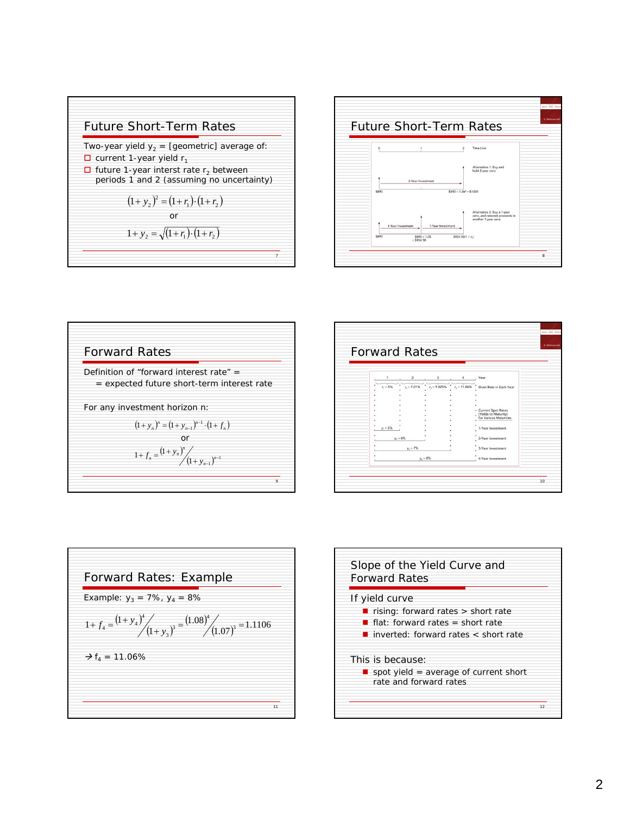**Future Short-Term Rates**  
\nTwo-year yield 
$$
y_2
$$
 = [geometric] average of:  
\n
$$
\Box
$$
 current 1-year yield  $r_1$   
\n
$$
\Box
$$
 future 1-year interest rate  $r_2$  between  
\nperiods 1 and 2 (assuming no uncertainty)  
\n
$$
(1 + y_2)^2 = (1 + r_1) \cdot (1 + r_2)
$$
\nor  
\n
$$
1 + y_2 = \sqrt{(1 + r_1) \cdot (1 + r_2)}
$$